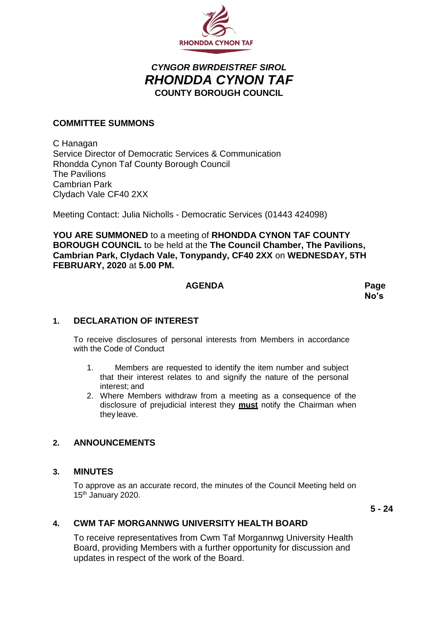

# *CYNGOR BWRDEISTREF SIROL RHONDDA CYNON TAF* **COUNTY BOROUGH COUNCIL**

# **COMMITTEE SUMMONS**

C Hanagan Service Director of Democratic Services & Communication Rhondda Cynon Taf County Borough Council The Pavilions Cambrian Park Clydach Vale CF40 2XX

Meeting Contact: Julia Nicholls - Democratic Services (01443 424098)

**YOU ARE SUMMONED** to a meeting of **RHONDDA CYNON TAF COUNTY BOROUGH COUNCIL** to be held at the **The Council Chamber, The Pavilions, Cambrian Park, Clydach Vale, Tonypandy, CF40 2XX** on **WEDNESDAY, 5TH FEBRUARY, 2020** at **5.00 PM.**

### **AGENDA Page**

**No's**

# **1. DECLARATION OF INTEREST**

To receive disclosures of personal interests from Members in accordance with the Code of Conduct

- 1. Members are requested to identify the item number and subject that their interest relates to and signify the nature of the personal interest; and
- 2. Where Members withdraw from a meeting as a consequence of the disclosure of prejudicial interest they **must** notify the Chairman when they leave.

## **2. ANNOUNCEMENTS**

#### **3. MINUTES**

To approve as an accurate record, the minutes of the Council Meeting held on 15<sup>th</sup> January 2020.

**5 - 24**

# **4. CWM TAF MORGANNWG UNIVERSITY HEALTH BOARD**

To receive representatives from Cwm Taf Morgannwg University Health Board, providing Members with a further opportunity for discussion and updates in respect of the work of the Board.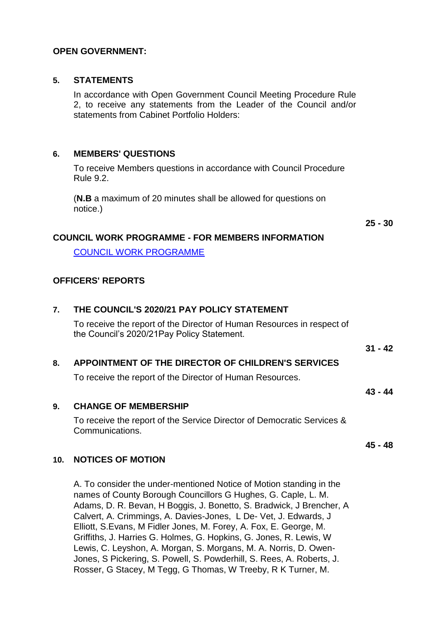## **OPEN GOVERNMENT:**

#### **5. STATEMENTS**

In accordance with Open Government Council Meeting Procedure Rule 2, to receive any statements from the Leader of the Council and/or statements from Cabinet Portfolio Holders:

## **6. MEMBERS' QUESTIONS**

To receive Members questions in accordance with Council Procedure Rule 9.2.

(**N.B** a maximum of 20 minutes shall be allowed for questions on notice.)

**25 - 30**

#### **COUNCIL WORK PROGRAMME - FOR MEMBERS INFORMATION**

[COUNCIL WORK PROGRAMME](https://www.rctcbc.gov.uk/EN/Council/CouncillorsCommitteesandMeetings/RelatedDocuments/workprgrammes/20192020/CouncilWorkProgramme20192020.pdf)

## **OFFICERS' REPORTS**

| 7.  | THE COUNCIL'S 2020/21 PAY POLICY STATEMENT                                                                            |           |
|-----|-----------------------------------------------------------------------------------------------------------------------|-----------|
|     | To receive the report of the Director of Human Resources in respect of<br>the Council's 2020/21 Pay Policy Statement. |           |
|     |                                                                                                                       | $31 - 42$ |
| 8.  | APPOINTMENT OF THE DIRECTOR OF CHILDREN'S SERVICES                                                                    |           |
|     | To receive the report of the Director of Human Resources.                                                             |           |
|     |                                                                                                                       | 43 - 44   |
| 9.  | <b>CHANGE OF MEMBERSHIP</b>                                                                                           |           |
|     | To receive the report of the Service Director of Democratic Services &<br>Communications.                             |           |
|     |                                                                                                                       | 45 - 48   |
| 10. | <b>NOTICES OF MOTION</b>                                                                                              |           |
|     |                                                                                                                       |           |

A. To consider the under-mentioned Notice of Motion standing in the names of County Borough Councillors G Hughes, G. Caple, L. M. Adams, D. R. Bevan, H Boggis, J. Bonetto, S. Bradwick, J Brencher, A Calvert, A. Crimmings, A. Davies-Jones, L De- Vet, J. Edwards, J Elliott, S.Evans, M Fidler Jones, M. Forey, A. Fox, E. George, M. Griffiths, J. Harries G. Holmes, G. Hopkins, G. Jones, R. Lewis, W Lewis, C. Leyshon, A. Morgan, S. Morgans, M. A. Norris, D. Owen-Jones, S Pickering, S. Powell, S. Powderhill, S. Rees, A. Roberts, J. Rosser, G Stacey, M Tegg, G Thomas, W Treeby, R K Turner, M.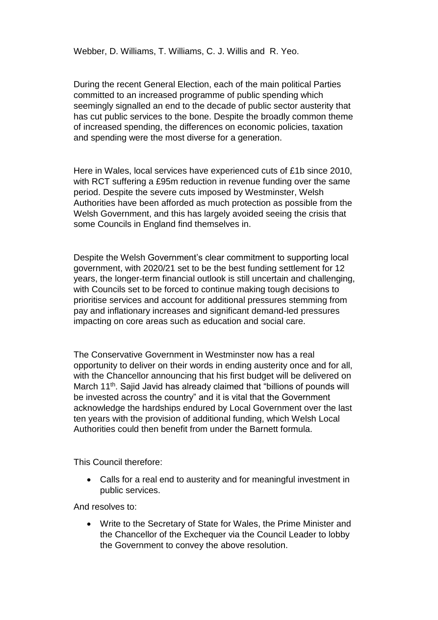During the recent General Election, each of the main political Parties committed to an increased programme of public spending which seemingly signalled an end to the decade of public sector austerity that has cut public services to the bone. Despite the broadly common theme of increased spending, the differences on economic policies, taxation and spending were the most diverse for a generation.

Here in Wales, local services have experienced cuts of £1b since 2010, with RCT suffering a £95m reduction in revenue funding over the same period. Despite the severe cuts imposed by Westminster, Welsh Authorities have been afforded as much protection as possible from the Welsh Government, and this has largely avoided seeing the crisis that some Councils in England find themselves in.

Despite the Welsh Government's clear commitment to supporting local government, with 2020/21 set to be the best funding settlement for 12 years, the longer-term financial outlook is still uncertain and challenging, with Councils set to be forced to continue making tough decisions to prioritise services and account for additional pressures stemming from pay and inflationary increases and significant demand-led pressures impacting on core areas such as education and social care.

The Conservative Government in Westminster now has a real opportunity to deliver on their words in ending austerity once and for all, with the Chancellor announcing that his first budget will be delivered on March 11<sup>th</sup>. Sajid Javid has already claimed that "billions of pounds will be invested across the country" and it is vital that the Government acknowledge the hardships endured by Local Government over the last ten years with the provision of additional funding, which Welsh Local Authorities could then benefit from under the Barnett formula.

This Council therefore:

 Calls for a real end to austerity and for meaningful investment in public services.

And resolves to:

 Write to the Secretary of State for Wales, the Prime Minister and the Chancellor of the Exchequer via the Council Leader to lobby the Government to convey the above resolution.